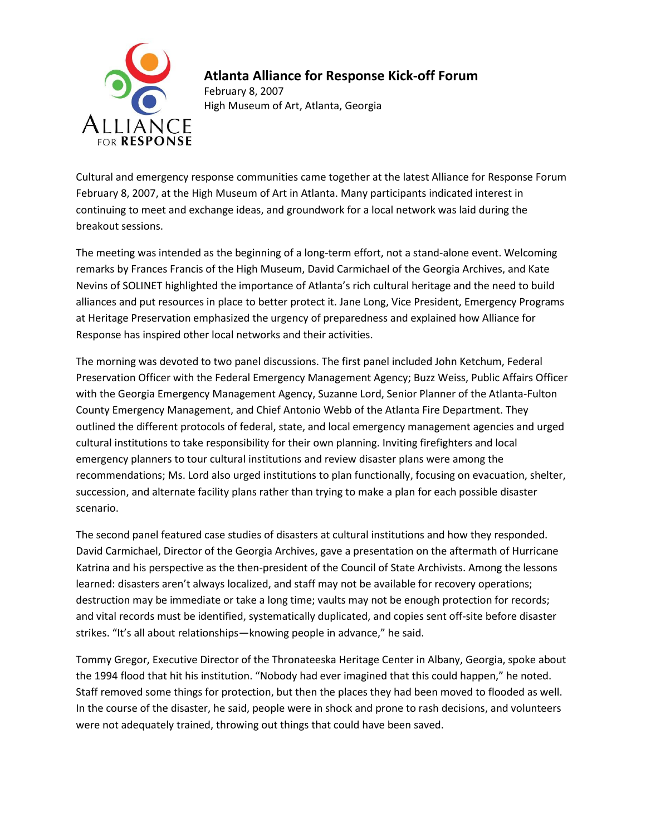

## **Atlanta Alliance for Response Kick-off Forum**

February 8, 2007 High Museum of Art, Atlanta, Georgia

Cultural and emergency response communities came together at the latest Alliance for Response Forum February 8, 2007, at the High Museum of Art in Atlanta. Many participants indicated interest in continuing to meet and exchange ideas, and groundwork for a local network was laid during the breakout sessions.

The meeting was intended as the beginning of a long-term effort, not a stand-alone event. Welcoming remarks by Frances Francis of the High Museum, David Carmichael of the Georgia Archives, and Kate Nevins of SOLINET highlighted the importance of Atlanta's rich cultural heritage and the need to build alliances and put resources in place to better protect it. Jane Long, Vice President, Emergency Programs at Heritage Preservation emphasized the urgency of preparedness and explained how Alliance for Response has inspired other local networks and their activities.

The morning was devoted to two panel discussions. The first panel included John Ketchum, Federal Preservation Officer with the Federal Emergency Management Agency; Buzz Weiss, Public Affairs Officer with the Georgia Emergency Management Agency, Suzanne Lord, Senior Planner of the Atlanta-Fulton County Emergency Management, and Chief Antonio Webb of the Atlanta Fire Department. They outlined the different protocols of federal, state, and local emergency management agencies and urged cultural institutions to take responsibility for their own planning. Inviting firefighters and local emergency planners to tour cultural institutions and review disaster plans were among the recommendations; Ms. Lord also urged institutions to plan functionally, focusing on evacuation, shelter, succession, and alternate facility plans rather than trying to make a plan for each possible disaster scenario.

The second panel featured case studies of disasters at cultural institutions and how they responded. David Carmichael, Director of the Georgia Archives, gave a presentation on the aftermath of Hurricane Katrina and his perspective as the then-president of the Council of State Archivists. Among the lessons learned: disasters aren't always localized, and staff may not be available for recovery operations; destruction may be immediate or take a long time; vaults may not be enough protection for records; and vital records must be identified, systematically duplicated, and copies sent off-site before disaster strikes. "It's all about relationships—knowing people in advance," he said.

Tommy Gregor, Executive Director of the Thronateeska Heritage Center in Albany, Georgia, spoke about the 1994 flood that hit his institution. "Nobody had ever imagined that this could happen," he noted. Staff removed some things for protection, but then the places they had been moved to flooded as well. In the course of the disaster, he said, people were in shock and prone to rash decisions, and volunteers were not adequately trained, throwing out things that could have been saved.